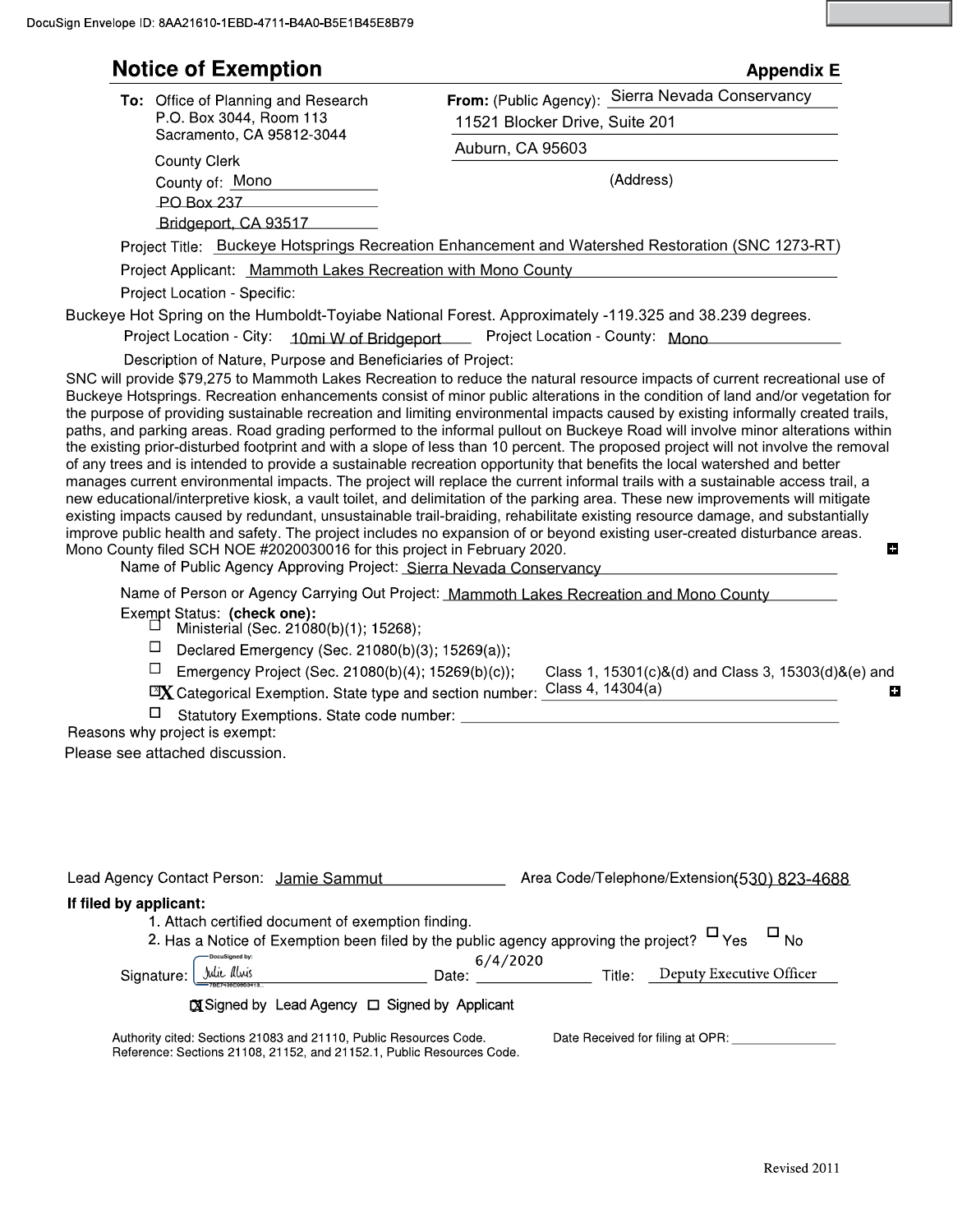| ப<br>$\Box$            | To: Office of Planning and Research<br>P.O. Box 3044, Room 113<br>Sacramento, CA 95812-3044<br>County Clerk<br>County of: Mono<br>PO Box 237<br>Bridgeport, CA 93517<br>Project Applicant: Mammoth Lakes Recreation with Mono County<br>Project Location - Specific:<br>Project Location - City: 10mi W of Bridgeport<br>Description of Nature, Purpose and Beneficiaries of Project:<br>Mono County filed SCH NOE #2020030016 for this project in February 2020.<br>Exempt Status: (check one):<br>Ministerial (Sec. 21080(b)(1); 15268); | From: (Public Agency): Sierra Nevada Conservancy<br>11521 Blocker Drive, Suite 201<br>Auburn, CA 95603<br>(Address)<br>Project Title: Buckeye Hotsprings Recreation Enhancement and Watershed Restoration (SNC 1273-RT)<br>Buckeye Hot Spring on the Humboldt-Toyiabe National Forest. Approximately -119.325 and 38.239 degrees.<br>Project Location - County: Mono<br>SNC will provide \$79,275 to Mammoth Lakes Recreation to reduce the natural resource impacts of current recreational use of<br>Buckeye Hotsprings. Recreation enhancements consist of minor public alterations in the condition of land and/or vegetation for<br>the purpose of providing sustainable recreation and limiting environmental impacts caused by existing informally created trails,<br>paths, and parking areas. Road grading performed to the informal pullout on Buckeye Road will involve minor alterations within<br>the existing prior-disturbed footprint and with a slope of less than 10 percent. The proposed project will not involve the removal<br>of any trees and is intended to provide a sustainable recreation opportunity that benefits the local watershed and better<br>manages current environmental impacts. The project will replace the current informal trails with a sustainable access trail, a<br>new educational/interpretive kiosk, a vault toilet, and delimitation of the parking area. These new improvements will mitigate<br>existing impacts caused by redundant, unsustainable trail-braiding, rehabilitate existing resource damage, and substantially<br>improve public health and safety. The project includes no expansion of or beyond existing user-created disturbance areas.<br>П<br>Name of Public Agency Approving Project: Sierra Nevada Conservancy<br>Name of Person or Agency Carrying Out Project: Mammoth Lakes Recreation and Mono County |
|------------------------|--------------------------------------------------------------------------------------------------------------------------------------------------------------------------------------------------------------------------------------------------------------------------------------------------------------------------------------------------------------------------------------------------------------------------------------------------------------------------------------------------------------------------------------------|---------------------------------------------------------------------------------------------------------------------------------------------------------------------------------------------------------------------------------------------------------------------------------------------------------------------------------------------------------------------------------------------------------------------------------------------------------------------------------------------------------------------------------------------------------------------------------------------------------------------------------------------------------------------------------------------------------------------------------------------------------------------------------------------------------------------------------------------------------------------------------------------------------------------------------------------------------------------------------------------------------------------------------------------------------------------------------------------------------------------------------------------------------------------------------------------------------------------------------------------------------------------------------------------------------------------------------------------------------------------------------------------------------------------------------------------------------------------------------------------------------------------------------------------------------------------------------------------------------------------------------------------------------------------------------------------------------------------------------------------------------------------------------------------------------------------------------------------------------------------------------------|
|                        |                                                                                                                                                                                                                                                                                                                                                                                                                                                                                                                                            |                                                                                                                                                                                                                                                                                                                                                                                                                                                                                                                                                                                                                                                                                                                                                                                                                                                                                                                                                                                                                                                                                                                                                                                                                                                                                                                                                                                                                                                                                                                                                                                                                                                                                                                                                                                                                                                                                       |
|                        |                                                                                                                                                                                                                                                                                                                                                                                                                                                                                                                                            |                                                                                                                                                                                                                                                                                                                                                                                                                                                                                                                                                                                                                                                                                                                                                                                                                                                                                                                                                                                                                                                                                                                                                                                                                                                                                                                                                                                                                                                                                                                                                                                                                                                                                                                                                                                                                                                                                       |
|                        |                                                                                                                                                                                                                                                                                                                                                                                                                                                                                                                                            |                                                                                                                                                                                                                                                                                                                                                                                                                                                                                                                                                                                                                                                                                                                                                                                                                                                                                                                                                                                                                                                                                                                                                                                                                                                                                                                                                                                                                                                                                                                                                                                                                                                                                                                                                                                                                                                                                       |
|                        |                                                                                                                                                                                                                                                                                                                                                                                                                                                                                                                                            |                                                                                                                                                                                                                                                                                                                                                                                                                                                                                                                                                                                                                                                                                                                                                                                                                                                                                                                                                                                                                                                                                                                                                                                                                                                                                                                                                                                                                                                                                                                                                                                                                                                                                                                                                                                                                                                                                       |
|                        |                                                                                                                                                                                                                                                                                                                                                                                                                                                                                                                                            |                                                                                                                                                                                                                                                                                                                                                                                                                                                                                                                                                                                                                                                                                                                                                                                                                                                                                                                                                                                                                                                                                                                                                                                                                                                                                                                                                                                                                                                                                                                                                                                                                                                                                                                                                                                                                                                                                       |
|                        |                                                                                                                                                                                                                                                                                                                                                                                                                                                                                                                                            |                                                                                                                                                                                                                                                                                                                                                                                                                                                                                                                                                                                                                                                                                                                                                                                                                                                                                                                                                                                                                                                                                                                                                                                                                                                                                                                                                                                                                                                                                                                                                                                                                                                                                                                                                                                                                                                                                       |
|                        |                                                                                                                                                                                                                                                                                                                                                                                                                                                                                                                                            |                                                                                                                                                                                                                                                                                                                                                                                                                                                                                                                                                                                                                                                                                                                                                                                                                                                                                                                                                                                                                                                                                                                                                                                                                                                                                                                                                                                                                                                                                                                                                                                                                                                                                                                                                                                                                                                                                       |
|                        |                                                                                                                                                                                                                                                                                                                                                                                                                                                                                                                                            |                                                                                                                                                                                                                                                                                                                                                                                                                                                                                                                                                                                                                                                                                                                                                                                                                                                                                                                                                                                                                                                                                                                                                                                                                                                                                                                                                                                                                                                                                                                                                                                                                                                                                                                                                                                                                                                                                       |
|                        |                                                                                                                                                                                                                                                                                                                                                                                                                                                                                                                                            |                                                                                                                                                                                                                                                                                                                                                                                                                                                                                                                                                                                                                                                                                                                                                                                                                                                                                                                                                                                                                                                                                                                                                                                                                                                                                                                                                                                                                                                                                                                                                                                                                                                                                                                                                                                                                                                                                       |
|                        |                                                                                                                                                                                                                                                                                                                                                                                                                                                                                                                                            |                                                                                                                                                                                                                                                                                                                                                                                                                                                                                                                                                                                                                                                                                                                                                                                                                                                                                                                                                                                                                                                                                                                                                                                                                                                                                                                                                                                                                                                                                                                                                                                                                                                                                                                                                                                                                                                                                       |
|                        |                                                                                                                                                                                                                                                                                                                                                                                                                                                                                                                                            |                                                                                                                                                                                                                                                                                                                                                                                                                                                                                                                                                                                                                                                                                                                                                                                                                                                                                                                                                                                                                                                                                                                                                                                                                                                                                                                                                                                                                                                                                                                                                                                                                                                                                                                                                                                                                                                                                       |
|                        |                                                                                                                                                                                                                                                                                                                                                                                                                                                                                                                                            |                                                                                                                                                                                                                                                                                                                                                                                                                                                                                                                                                                                                                                                                                                                                                                                                                                                                                                                                                                                                                                                                                                                                                                                                                                                                                                                                                                                                                                                                                                                                                                                                                                                                                                                                                                                                                                                                                       |
|                        |                                                                                                                                                                                                                                                                                                                                                                                                                                                                                                                                            |                                                                                                                                                                                                                                                                                                                                                                                                                                                                                                                                                                                                                                                                                                                                                                                                                                                                                                                                                                                                                                                                                                                                                                                                                                                                                                                                                                                                                                                                                                                                                                                                                                                                                                                                                                                                                                                                                       |
|                        |                                                                                                                                                                                                                                                                                                                                                                                                                                                                                                                                            |                                                                                                                                                                                                                                                                                                                                                                                                                                                                                                                                                                                                                                                                                                                                                                                                                                                                                                                                                                                                                                                                                                                                                                                                                                                                                                                                                                                                                                                                                                                                                                                                                                                                                                                                                                                                                                                                                       |
|                        | Declared Emergency (Sec. 21080(b)(3); 15269(a));                                                                                                                                                                                                                                                                                                                                                                                                                                                                                           |                                                                                                                                                                                                                                                                                                                                                                                                                                                                                                                                                                                                                                                                                                                                                                                                                                                                                                                                                                                                                                                                                                                                                                                                                                                                                                                                                                                                                                                                                                                                                                                                                                                                                                                                                                                                                                                                                       |
|                        | Emergency Project (Sec. 21080(b)(4); 15269(b)(c));                                                                                                                                                                                                                                                                                                                                                                                                                                                                                         | Class 1, 15301(c)&(d) and Class 3, 15303(d)&(e) and                                                                                                                                                                                                                                                                                                                                                                                                                                                                                                                                                                                                                                                                                                                                                                                                                                                                                                                                                                                                                                                                                                                                                                                                                                                                                                                                                                                                                                                                                                                                                                                                                                                                                                                                                                                                                                   |
|                        |                                                                                                                                                                                                                                                                                                                                                                                                                                                                                                                                            | <b>EX</b> Categorical Exemption. State type and section number: Class 4, 14304(a)                                                                                                                                                                                                                                                                                                                                                                                                                                                                                                                                                                                                                                                                                                                                                                                                                                                                                                                                                                                                                                                                                                                                                                                                                                                                                                                                                                                                                                                                                                                                                                                                                                                                                                                                                                                                     |
|                        | Statutory Exemptions. State code number: _                                                                                                                                                                                                                                                                                                                                                                                                                                                                                                 |                                                                                                                                                                                                                                                                                                                                                                                                                                                                                                                                                                                                                                                                                                                                                                                                                                                                                                                                                                                                                                                                                                                                                                                                                                                                                                                                                                                                                                                                                                                                                                                                                                                                                                                                                                                                                                                                                       |
|                        | Reasons why project is exempt:                                                                                                                                                                                                                                                                                                                                                                                                                                                                                                             |                                                                                                                                                                                                                                                                                                                                                                                                                                                                                                                                                                                                                                                                                                                                                                                                                                                                                                                                                                                                                                                                                                                                                                                                                                                                                                                                                                                                                                                                                                                                                                                                                                                                                                                                                                                                                                                                                       |
|                        | Please see attached discussion.                                                                                                                                                                                                                                                                                                                                                                                                                                                                                                            |                                                                                                                                                                                                                                                                                                                                                                                                                                                                                                                                                                                                                                                                                                                                                                                                                                                                                                                                                                                                                                                                                                                                                                                                                                                                                                                                                                                                                                                                                                                                                                                                                                                                                                                                                                                                                                                                                       |
|                        |                                                                                                                                                                                                                                                                                                                                                                                                                                                                                                                                            |                                                                                                                                                                                                                                                                                                                                                                                                                                                                                                                                                                                                                                                                                                                                                                                                                                                                                                                                                                                                                                                                                                                                                                                                                                                                                                                                                                                                                                                                                                                                                                                                                                                                                                                                                                                                                                                                                       |
|                        | Lead Agency Contact Person: Jamie Sammut                                                                                                                                                                                                                                                                                                                                                                                                                                                                                                   | Area Code/Telephone/Extension(530) 823-4688                                                                                                                                                                                                                                                                                                                                                                                                                                                                                                                                                                                                                                                                                                                                                                                                                                                                                                                                                                                                                                                                                                                                                                                                                                                                                                                                                                                                                                                                                                                                                                                                                                                                                                                                                                                                                                           |
| If filed by applicant: | 1. Attach certified document of exemption finding.                                                                                                                                                                                                                                                                                                                                                                                                                                                                                         |                                                                                                                                                                                                                                                                                                                                                                                                                                                                                                                                                                                                                                                                                                                                                                                                                                                                                                                                                                                                                                                                                                                                                                                                                                                                                                                                                                                                                                                                                                                                                                                                                                                                                                                                                                                                                                                                                       |
|                        |                                                                                                                                                                                                                                                                                                                                                                                                                                                                                                                                            | 2. Has a Notice of Exemption been filed by the public agency approving the project? $\Box$ Yes $\Box$ No                                                                                                                                                                                                                                                                                                                                                                                                                                                                                                                                                                                                                                                                                                                                                                                                                                                                                                                                                                                                                                                                                                                                                                                                                                                                                                                                                                                                                                                                                                                                                                                                                                                                                                                                                                              |
| Signature:             | -DocuSigned by:<br>Julie Alvis                                                                                                                                                                                                                                                                                                                                                                                                                                                                                                             | 6/4/2020<br>Date: ________________________ Title: Deputy Executive Officer                                                                                                                                                                                                                                                                                                                                                                                                                                                                                                                                                                                                                                                                                                                                                                                                                                                                                                                                                                                                                                                                                                                                                                                                                                                                                                                                                                                                                                                                                                                                                                                                                                                                                                                                                                                                            |
|                        | <b>X</b> Signed by Lead Agency □ Signed by Applicant                                                                                                                                                                                                                                                                                                                                                                                                                                                                                       |                                                                                                                                                                                                                                                                                                                                                                                                                                                                                                                                                                                                                                                                                                                                                                                                                                                                                                                                                                                                                                                                                                                                                                                                                                                                                                                                                                                                                                                                                                                                                                                                                                                                                                                                                                                                                                                                                       |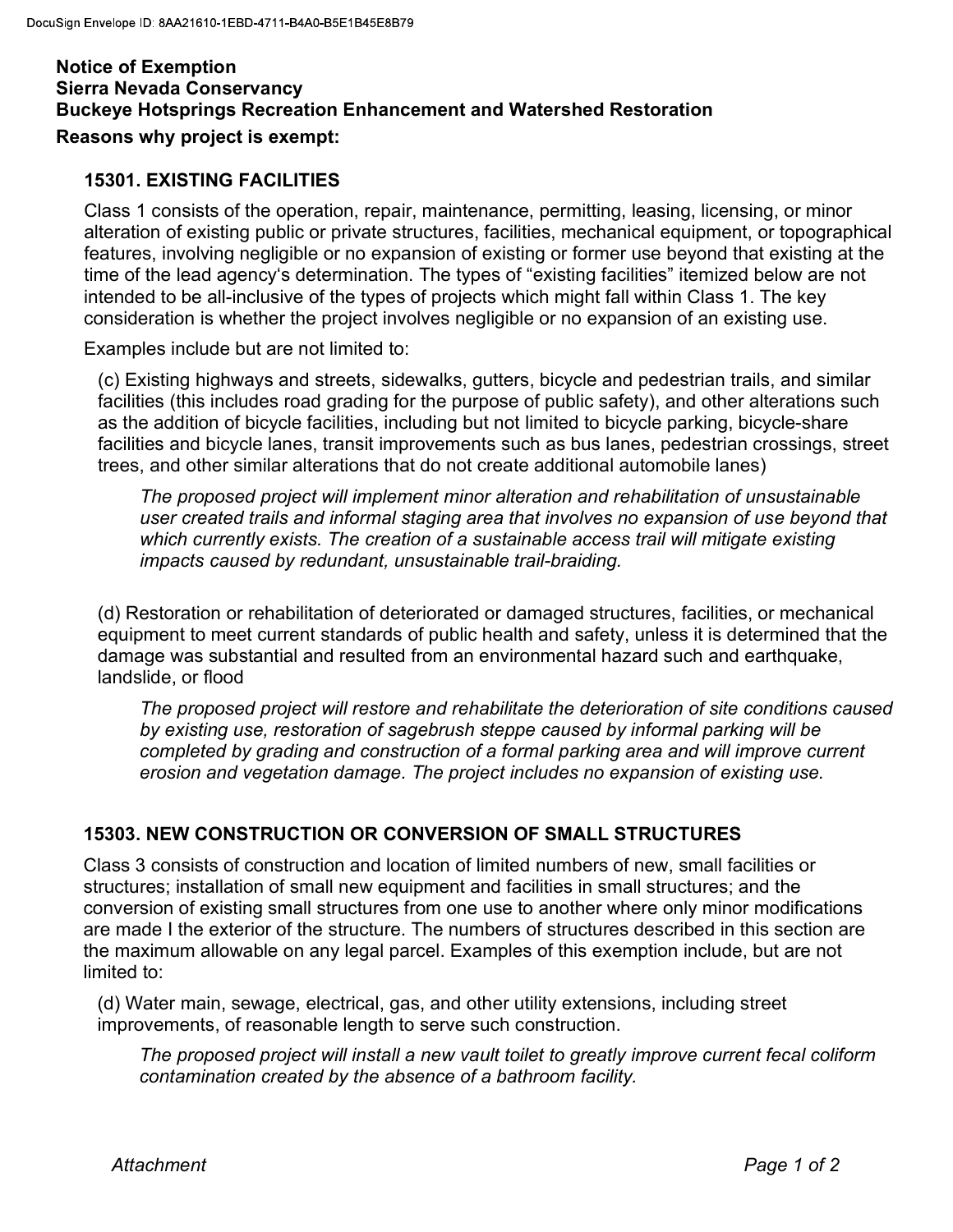# Notice of Exemption Sierra Nevada Conservancy Buckeye Hotsprings Recreation Enhancement and Watershed Restoration Reasons why project is exempt:

#### 15301. EXISTING FACILITIES

 Class 1 consists of the operation, repair, maintenance, permitting, leasing, licensing, or minor alteration of existing public or private structures, facilities, mechanical equipment, or topographical features, involving negligible or no expansion of existing or former use beyond that existing at the time of the lead agency's determination. The types of "existing facilities" itemized below are not intended to be all-inclusive of the types of projects which might fall within Class 1. The key consideration is whether the project involves negligible or no expansion of an existing use.

Examples include but are not limited to:

 (c) Existing highways and streets, sidewalks, gutters, bicycle and pedestrian trails, and similar facilities (this includes road grading for the purpose of public safety), and other alterations such as the addition of bicycle facilities, including but not limited to bicycle parking, bicycle-share facilities and bicycle lanes, transit improvements such as bus lanes, pedestrian crossings, street trees, and other similar alterations that do not create additional automobile lanes)

 The proposed project will implement minor alteration and rehabilitation of unsustainable user created trails and informal staging area that involves no expansion of use beyond that which currently exists. The creation of a sustainable access trail will mitigate existing impacts caused by redundant, unsustainable trail-braiding.

 (d) Restoration or rehabilitation of deteriorated or damaged structures, facilities, or mechanical equipment to meet current standards of public health and safety, unless it is determined that the damage was substantial and resulted from an environmental hazard such and earthquake, landslide, or flood

 The proposed project will restore and rehabilitate the deterioration of site conditions caused by existing use, restoration of sagebrush steppe caused by informal parking will be completed by grading and construction of a formal parking area and will improve current erosion and vegetation damage. The project includes no expansion of existing use.

### 15303. NEW CONSTRUCTION OR CONVERSION OF SMALL STRUCTURES

 Class 3 consists of construction and location of limited numbers of new, small facilities or structures; installation of small new equipment and facilities in small structures; and the conversion of existing small structures from one use to another where only minor modifications are made I the exterior of the structure. The numbers of structures described in this section are the maximum allowable on any legal parcel. Examples of this exemption include, but are not limited to:

 (d) Water main, sewage, electrical, gas, and other utility extensions, including street improvements, of reasonable length to serve such construction.

 The proposed project will install a new vault toilet to greatly improve current fecal coliform contamination created by the absence of a bathroom facility.